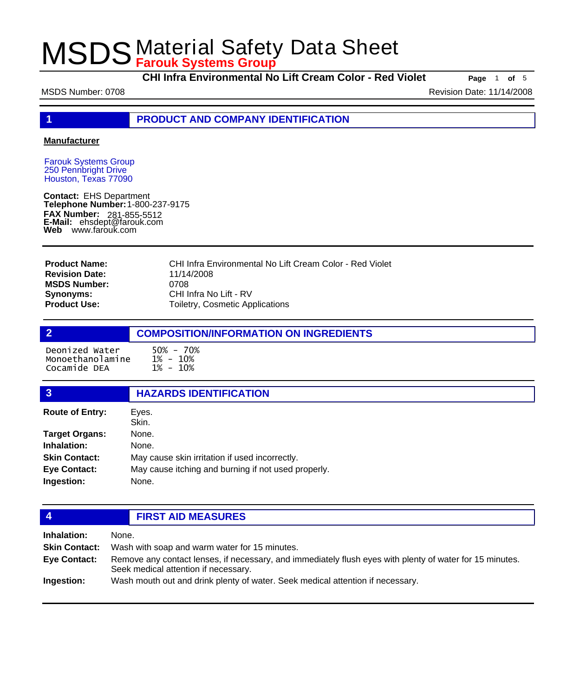**CHI Infra Environmental No Lift Cream Color - Red Violet Page** <sup>1</sup> **of** <sup>5</sup>

MSDS Number: 0708 **Revision Date: 11/14/2008** Revision Date: 11/14/2008

**1 PRODUCT AND COMPANY IDENTIFICATION**

### **Manufacturer**

Farouk Systems Group 250 Pennbright Drive Houston, Texas 77090

**Contact:** EHS Department **Telephone Number:** 1-800-237-9175 **FAX Number: FAX Number:** 281-855-5512<br>**E-Mail:** ehsdept@farouk.com **Web** www.farouk.com

CHI Infra Environmental No Lift Cream Color - Red Violet 11/14/2008 0708 CHI Infra No Lift - RV Toiletry, Cosmetic Applications **Product Name: Revision Date: MSDS Number: Synonyms: Product Use:**

## **2 COMPOSITION/INFORMATION ON INGREDIENTS** Deonized Water 50% - 70% Monoethanolamine Cocamide DEA

| 3                      | <b>HAZARDS IDENTIFICATION</b>                       |  |  |
|------------------------|-----------------------------------------------------|--|--|
| <b>Route of Entry:</b> | Eyes.                                               |  |  |
|                        | Skin.                                               |  |  |
| <b>Target Organs:</b>  | None.                                               |  |  |
| Inhalation:            | None.                                               |  |  |
| <b>Skin Contact:</b>   | May cause skin irritation if used incorrectly.      |  |  |
| <b>Eye Contact:</b>    | May cause itching and burning if not used properly. |  |  |
| Ingestion:             | None.                                               |  |  |
|                        |                                                     |  |  |

## **4 FIRST AID MEASURES**

| Inhalation:          | None.                                                                                                                                            |
|----------------------|--------------------------------------------------------------------------------------------------------------------------------------------------|
| <b>Skin Contact:</b> | Wash with soap and warm water for 15 minutes.                                                                                                    |
| Eye Contact:         | Remove any contact lenses, if necessary, and immediately flush eyes with plenty of water for 15 minutes.<br>Seek medical attention if necessary. |
| Ingestion:           | Wash mouth out and drink plenty of water. Seek medical attention if necessary.                                                                   |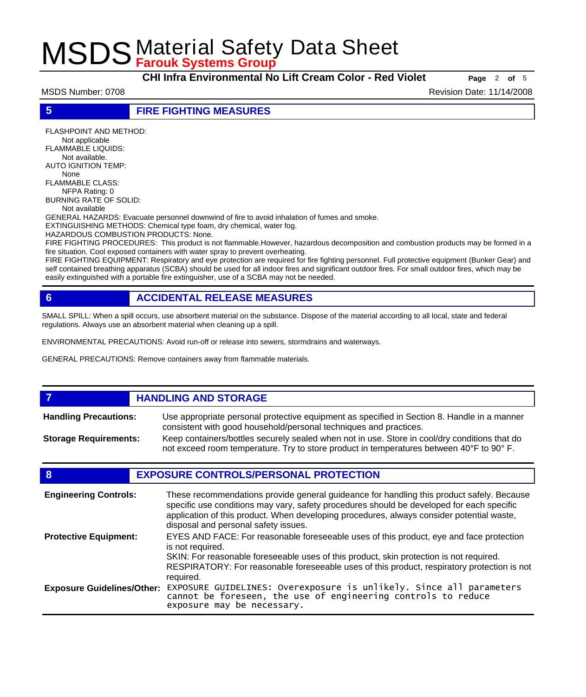**CHI Infra Environmental No Lift Cream Color - Red Violet Page** <sup>2</sup> **of** <sup>5</sup>

MSDS Number: 0708 **Revision Date: 11/14/2008** Revision Date: 11/14/2008

**5 FIRE FIGHTING MEASURES**

FLASHPOINT AND METHOD: Not applicable FLAMMABLE LIQUIDS: Not available. AUTO IGNITION TEMP: None FLAMMABLE CLASS: NFPA Rating: 0 BURNING RATE OF SOLID: Not available GENERAL HAZARDS: Evacuate personnel downwind of fire to avoid inhalation of fumes and smoke. EXTINGUISHING METHODS: Chemical type foam, dry chemical, water fog. HAZARDOUS COMBUSTION PRODUCTS: None.

FIRE FIGHTING PROCEDURES: This product is not flammable.However, hazardous decomposition and combustion products may be formed in a fire situation. Cool exposed containers with water spray to prevent overheating.

FIRE FIGHTING EQUIPMENT: Respiratory and eye protection are required for fire fighting personnel. Full protective equipment (Bunker Gear) and self contained breathing apparatus (SCBA) should be used for all indoor fires and significant outdoor fires. For small outdoor fires, which may be easily extinguished with a portable fire extinguisher, use of a SCBA may not be needed.

## **6 ACCIDENTAL RELEASE MEASURES**

SMALL SPILL: When a spill occurs, use absorbent material on the substance. Dispose of the material according to all local, state and federal regulations. Always use an absorbent material when cleaning up a spill.

ENVIRONMENTAL PRECAUTIONS: Avoid run-off or release into sewers, stormdrains and waterways.

GENERAL PRECAUTIONS: Remove containers away from flammable materials.

### *HANDLING AND STORAGE* Use appropriate personal protective equipment as specified in Section 8. Handle in a manner consistent with good household/personal techniques and practices. **Handling Precautions:** Keep containers/bottles securely sealed when not in use. Store in cool/dry conditions that do not exceed room temperature. Try to store product in temperatures between 40°F to 90° F. **Storage Requirements:**

## **8 EXPOSURE CONTROLS/PERSONAL PROTECTION**

| <b>Engineering Controls:</b>      | These recommendations provide general guideance for handling this product safely. Because<br>specific use conditions may vary, safety procedures should be developed for each specific<br>application of this product. When developing procedures, always consider potential waste,<br>disposal and personal safety issues. |
|-----------------------------------|-----------------------------------------------------------------------------------------------------------------------------------------------------------------------------------------------------------------------------------------------------------------------------------------------------------------------------|
| <b>Protective Equipment:</b>      | EYES AND FACE: For reasonable foreseeable uses of this product, eye and face protection<br>is not required.<br>SKIN: For reasonable foreseeable uses of this product, skin protection is not required.<br>RESPIRATORY: For reasonable foreseeable uses of this product, respiratory protection is not<br>required.          |
| <b>Exposure Guidelines/Other:</b> | EXPOSURE GUIDELINES: Overexposure is unlikely. Since all parameters cannot be foreseen, the use of engineering controls to reduce<br>exposure may be necessary.                                                                                                                                                             |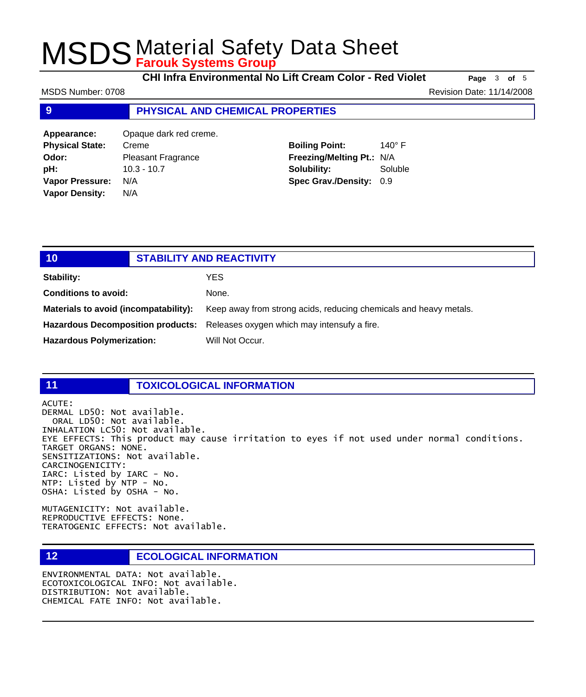**CHI Infra Environmental No Lift Cream Color - Red Violet Page** <sup>3</sup> **of** <sup>5</sup>

MSDS Number: 0708 **Revision Date: 11/14/2008** Revision Date: 11/14/2008

### **9 PHYSICAL AND CHEMICAL PROPERTIES**

**Appearance:** Opaque dark red creme. **Physical State:** Creme **Odor:** Pleasant Fragrance **pH:** 10.3 - 10.7 **Vapor Pressure:** N/A **Vapor Density:** N/A

## **Boiling Point:** 140° F **Freezing/Melting Pt.:** N/A **Solubility:** Soluble **Spec Grav./Density:** 0.9

| 10                                    | <b>STABILITY AND REACTIVITY</b> |                                                                               |
|---------------------------------------|---------------------------------|-------------------------------------------------------------------------------|
| Stability:                            |                                 | YES.                                                                          |
| <b>Conditions to avoid:</b>           |                                 | None.                                                                         |
| Materials to avoid (incompatability): |                                 | Keep away from strong acids, reducing chemicals and heavy metals.             |
|                                       |                                 | Hazardous Decomposition products: Releases oxygen which may intensufy a fire. |
| <b>Hazardous Polymerization:</b>      |                                 | Will Not Occur.                                                               |

### **11 TOXICOLOGICAL INFORMATION**

ACUTE:

DERMAL LD50: Not available. ORAL LD50: Not available. INHALATION LC50: Not available. EYE EFFECTS: This product may cause irritation to eyes if not used under normal conditions. TARGET ORGANS: NONE. SENSITIZATIONS: Not available. CARCINOGENICITY: IARC: Listed by IARC - No. NTP: Listed by NTP - No. OSHA: Listed by OSHA - No.

MUTAGENICITY: Not available. REPRODUCTIVE EFFECTS: None. TERATOGENIC EFFECTS: Not available.

## **12 ECOLOGICAL INFORMATION**

ENVIRONMENTAL DATA: Not available. ECOTOXICOLOGICAL INFO: Not available. DISTRIBUTION: Not available. CHEMICAL FATE INFO: Not available.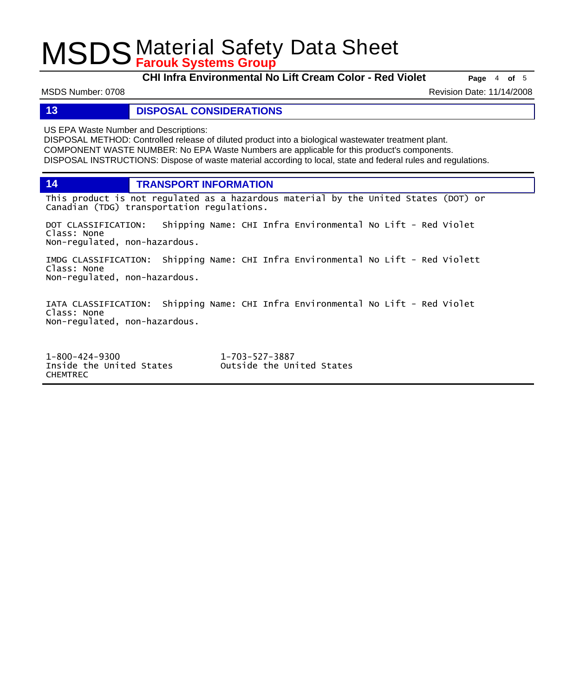**CHI Infra Environmental No Lift Cream Color - Red Violet Page** <sup>4</sup> **of** <sup>5</sup>

MSDS Number: 0708 **Revision Date: 11/14/2008** Revision Date: 11/14/2008

### **13 DISPOSAL CONSIDERATIONS**

US EPA Waste Number and Descriptions:

DISPOSAL METHOD: Controlled release of diluted product into a biological wastewater treatment plant. COMPONENT WASTE NUMBER: No EPA Waste Numbers are applicable for this product's components. DISPOSAL INSTRUCTIONS: Dispose of waste material according to local, state and federal rules and regulations.

**14 TRANSPORT INFORMATION**

This product is not regulated as a hazardous material by the United States (DOT) or Canadian (TDG) transportation regulations.

DOT CLASSIFICATION: Shipping Name: CHI Infra Environmental No Lift - Red Violet Class: None Non-regulated, non-hazardous.

IMDG CLASSIFICATION: Shipping Name: CHI Infra Environmental No Lift - Red Violett Class: None Non-regulated, non-hazardous.

IATA CLASSIFICATION: Shipping Name: CHI Infra Environmental No Lift - Red Violet Class: None Non-regulated, non-hazardous.

1-800-424-9300 1-703-527-3887 Outside the United States CHEMTREC